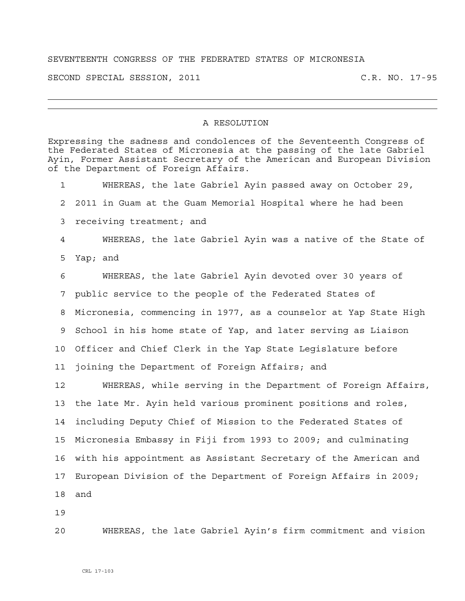## SEVENTEENTH CONGRESS OF THE FEDERATED STATES OF MICRONESIA

SECOND SPECIAL SESSION, 2011 C.R. NO. 17-95

## A RESOLUTION

Expressing the sadness and condolences of the Seventeenth Congress of the Federated States of Micronesia at the passing of the late Gabriel Ayin, Former Assistant Secretary of the American and European Division of the Department of Foreign Affairs. 1 WHEREAS, the late Gabriel Ayin passed away on October 29, 2 2011 in Guam at the Guam Memorial Hospital where he had been 3 receiving treatment; and 4 WHEREAS, the late Gabriel Ayin was a native of the State of 5 Yap; and 6 WHEREAS, the late Gabriel Ayin devoted over 30 years of 7 public service to the people of the Federated States of 8 Micronesia, commencing in 1977, as a counselor at Yap State High 9 School in his home state of Yap, and later serving as Liaison 10 Officer and Chief Clerk in the Yap State Legislature before 11 joining the Department of Foreign Affairs; and 12 WHEREAS, while serving in the Department of Foreign Affairs, 13 the late Mr. Ayin held various prominent positions and roles, 14 including Deputy Chief of Mission to the Federated States of 15 Micronesia Embassy in Fiji from 1993 to 2009; and culminating 16 with his appointment as Assistant Secretary of the American and 17 European Division of the Department of Foreign Affairs in 2009; 18 and 19

20 WHEREAS, the late Gabriel Ayin's firm commitment and vision